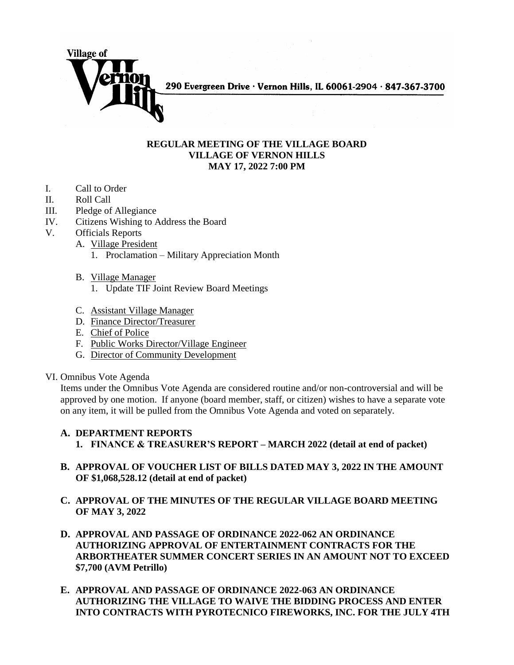

290 Evergreen Drive · Vernon Hills, IL 60061-2904 · 847-367-3700

## **REGULAR MEETING OF THE VILLAGE BOARD VILLAGE OF VERNON HILLS MAY 17, 2022 7:00 PM**

- I. Call to Order
- II. Roll Call
- III. Pledge of Allegiance
- IV. Citizens Wishing to Address the Board
- V. Officials Reports
	- A. Village President
		- 1. Proclamation Military Appreciation Month
		- B. Village Manager
			- 1. Update TIF Joint Review Board Meetings
		- C. Assistant Village Manager
		- D. Finance Director/Treasurer
		- E. Chief of Police
		- F. Public Works Director/Village Engineer
		- G. Director of Community Development

## VI. Omnibus Vote Agenda

Items under the Omnibus Vote Agenda are considered routine and/or non-controversial and will be approved by one motion. If anyone (board member, staff, or citizen) wishes to have a separate vote on any item, it will be pulled from the Omnibus Vote Agenda and voted on separately.

## **A. DEPARTMENT REPORTS**

- **1. FINANCE & TREASURER'S REPORT – MARCH 2022 (detail at end of packet)**
- **B. APPROVAL OF VOUCHER LIST OF BILLS DATED MAY 3, 2022 IN THE AMOUNT OF \$1,068,528.12 (detail at end of packet)**
- **C. APPROVAL OF THE MINUTES OF THE REGULAR VILLAGE BOARD MEETING OF MAY 3, 2022**
- **D. APPROVAL AND PASSAGE OF ORDINANCE 2022-062 AN ORDINANCE AUTHORIZING APPROVAL OF ENTERTAINMENT CONTRACTS FOR THE ARBORTHEATER SUMMER CONCERT SERIES IN AN AMOUNT NOT TO EXCEED \$7,700 (AVM Petrillo)**
- **E. APPROVAL AND PASSAGE OF ORDINANCE 2022-063 AN ORDINANCE AUTHORIZING THE VILLAGE TO WAIVE THE BIDDING PROCESS AND ENTER INTO CONTRACTS WITH PYROTECNICO FIREWORKS, INC. FOR THE JULY 4TH**